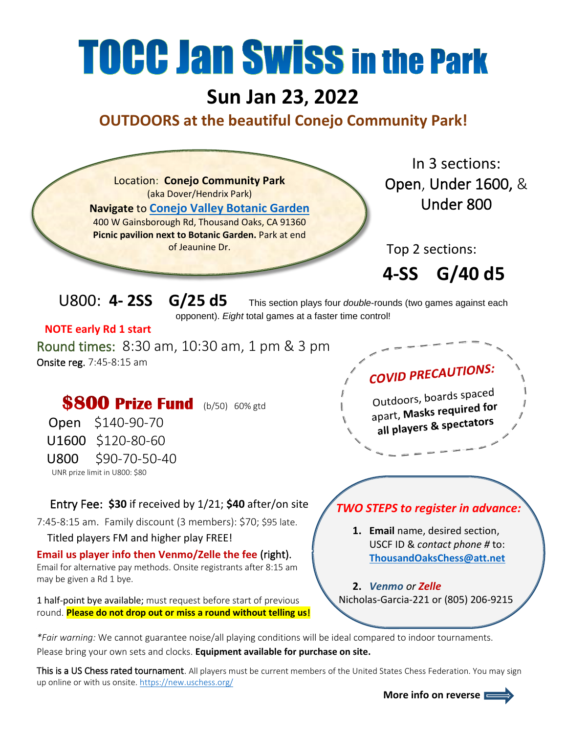## **TOCC Jan Swiss in the Park**

## **Sun Jan 23, 2022**

## **OUTDOORS at the beautiful Conejo Community Park!**



*\*Fair warning:* We cannot guarantee noise/all playing conditions will be ideal compared to indoor tournaments.

Please bring your own sets and clocks. **Equipment available for purchase on site.**

This is a US Chess rated tournament. All players must be current members of the United States Chess Federation. You may sign up online or with us onsite.<https://new.uschess.org/>

 **More info on reverse**